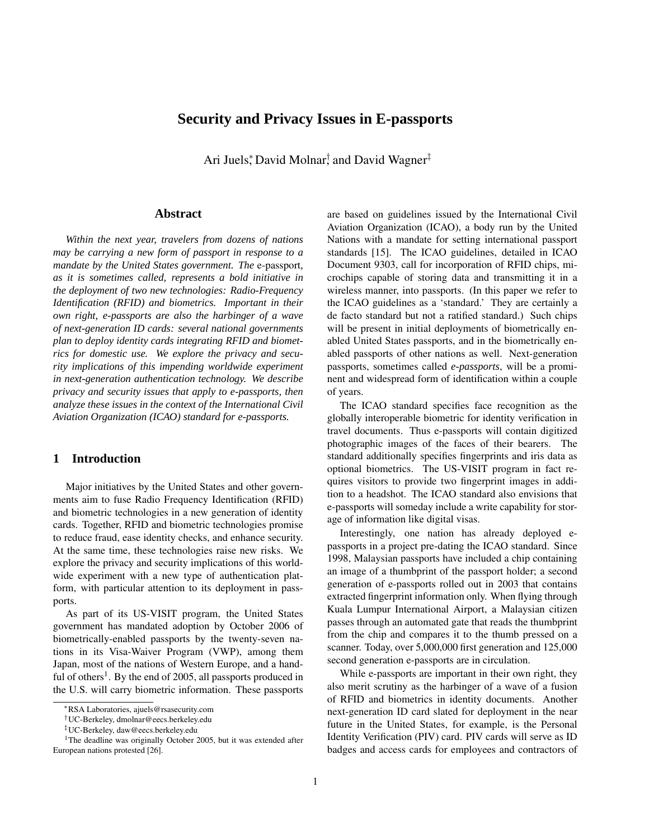# **Security and Privacy Issues in E-passports**

Ari Juels,\* David Molnar,† and David Wagner<sup>‡</sup>

#### **Abstract**

*Within the next year, travelers from dozens of nations may be carrying a new form of passport in response to a mandate by the United States government. The* e-passport*, as it is sometimes called, represents a bold initiative in the deployment of two new technologies: Radio-Frequency Identification (RFID) and biometrics. Important in their own right, e-passports are also the harbinger of a wave of next-generation ID cards: several national governments plan to deploy identity cards integrating RFID and biometrics for domestic use. We explore the privacy and security implications of this impending worldwide experiment in next-generation authentication technology. We describe privacy and security issues that apply to e-passports, then analyze these issues in the context of the International Civil Aviation Organization (ICAO) standard for e-passports.*

### **1 Introduction**

Major initiatives by the United States and other governments aim to fuse Radio Frequency Identification (RFID) and biometric technologies in a new generation of identity cards. Together, RFID and biometric technologies promise to reduce fraud, ease identity checks, and enhance security. At the same time, these technologies raise new risks. We explore the privacy and security implications of this worldwide experiment with a new type of authentication platform, with particular attention to its deployment in passports.

As part of its US-VISIT program, the United States government has mandated adoption by October 2006 of biometrically-enabled passports by the twenty-seven nations in its Visa-Waiver Program (VWP), among them Japan, most of the nations of Western Europe, and a handful of others<sup>1</sup>. By the end of 2005, all passports produced in the U.S. will carry biometric information. These passports

are based on guidelines issued by the International Civil Aviation Organization (ICAO), a body run by the United Nations with a mandate for setting international passport standards [15]. The ICAO guidelines, detailed in ICAO Document 9303, call for incorporation of RFID chips, microchips capable of storing data and transmitting it in a wireless manner, into passports. (In this paper we refer to the ICAO guidelines as a 'standard.' They are certainly a de facto standard but not a ratified standard.) Such chips will be present in initial deployments of biometrically enabled United States passports, and in the biometrically enabled passports of other nations as well. Next-generation passports, sometimes called *e-passports*, will be a prominent and widespread form of identification within a couple of years.

The ICAO standard specifies face recognition as the globally interoperable biometric for identity verification in travel documents. Thus e-passports will contain digitized photographic images of the faces of their bearers. The standard additionally specifies fingerprints and iris data as optional biometrics. The US-VISIT program in fact requires visitors to provide two fingerprint images in addition to a headshot. The ICAO standard also envisions that e-passports will someday include a write capability for storage of information like digital visas.

Interestingly, one nation has already deployed epassports in a project pre-dating the ICAO standard. Since 1998, Malaysian passports have included a chip containing an image of a thumbprint of the passport holder; a second generation of e-passports rolled out in 2003 that contains extracted fingerprint information only. When flying through Kuala Lumpur International Airport, a Malaysian citizen passes through an automated gate that reads the thumbprint from the chip and compares it to the thumb pressed on a scanner. Today, over 5,000,000 first generation and 125,000 second generation e-passports are in circulation.

While e-passports are important in their own right, they also merit scrutiny as the harbinger of a wave of a fusion of RFID and biometrics in identity documents. Another next-generation ID card slated for deployment in the near future in the United States, for example, is the Personal Identity Verification (PIV) card. PIV cards will serve as ID badges and access cards for employees and contractors of

<sup>∗</sup>RSA Laboratories, ajuels@rsasecurity.com

<sup>†</sup>UC-Berkeley, dmolnar@eecs.berkeley.edu

<sup>‡</sup>UC-Berkeley, daw@eecs.berkeley.edu

<sup>&</sup>lt;sup>1</sup>The deadline was originally October 2005, but it was extended after European nations protested [26].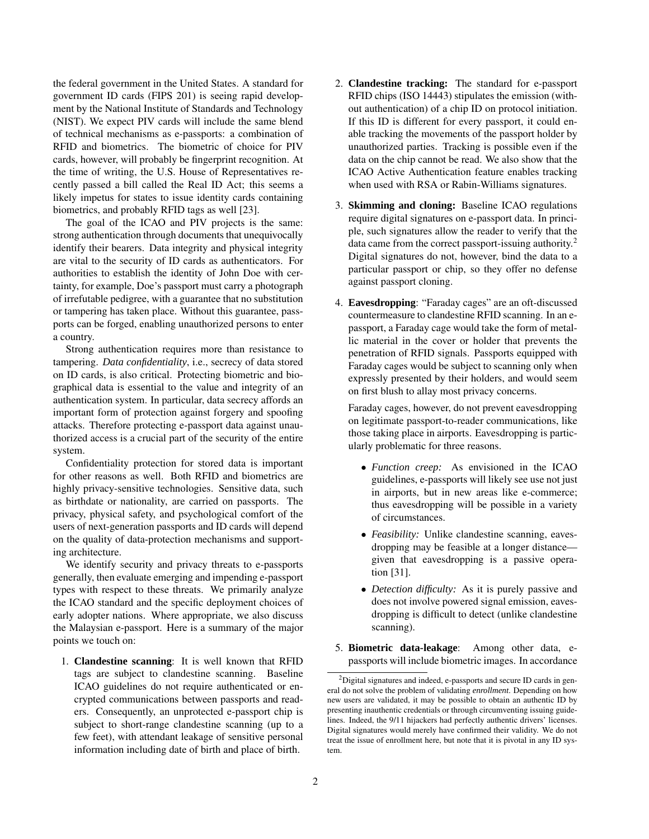the federal government in the United States. A standard for government ID cards (FIPS 201) is seeing rapid development by the National Institute of Standards and Technology (NIST). We expect PIV cards will include the same blend of technical mechanisms as e-passports: a combination of RFID and biometrics. The biometric of choice for PIV cards, however, will probably be fingerprint recognition. At the time of writing, the U.S. House of Representatives recently passed a bill called the Real ID Act; this seems a likely impetus for states to issue identity cards containing biometrics, and probably RFID tags as well [23].

The goal of the ICAO and PIV projects is the same: strong authentication through documents that unequivocally identify their bearers. Data integrity and physical integrity are vital to the security of ID cards as authenticators. For authorities to establish the identity of John Doe with certainty, for example, Doe's passport must carry a photograph of irrefutable pedigree, with a guarantee that no substitution or tampering has taken place. Without this guarantee, passports can be forged, enabling unauthorized persons to enter a country.

Strong authentication requires more than resistance to tampering. *Data confidentiality*, i.e., secrecy of data stored on ID cards, is also critical. Protecting biometric and biographical data is essential to the value and integrity of an authentication system. In particular, data secrecy affords an important form of protection against forgery and spoofing attacks. Therefore protecting e-passport data against unauthorized access is a crucial part of the security of the entire system.

Confidentiality protection for stored data is important for other reasons as well. Both RFID and biometrics are highly privacy-sensitive technologies. Sensitive data, such as birthdate or nationality, are carried on passports. The privacy, physical safety, and psychological comfort of the users of next-generation passports and ID cards will depend on the quality of data-protection mechanisms and supporting architecture.

We identify security and privacy threats to e-passports generally, then evaluate emerging and impending e-passport types with respect to these threats. We primarily analyze the ICAO standard and the specific deployment choices of early adopter nations. Where appropriate, we also discuss the Malaysian e-passport. Here is a summary of the major points we touch on:

1. **Clandestine scanning**: It is well known that RFID tags are subject to clandestine scanning. Baseline ICAO guidelines do not require authenticated or encrypted communications between passports and readers. Consequently, an unprotected e-passport chip is subject to short-range clandestine scanning (up to a few feet), with attendant leakage of sensitive personal information including date of birth and place of birth.

- 2. **Clandestine tracking:** The standard for e-passport RFID chips (ISO 14443) stipulates the emission (without authentication) of a chip ID on protocol initiation. If this ID is different for every passport, it could enable tracking the movements of the passport holder by unauthorized parties. Tracking is possible even if the data on the chip cannot be read. We also show that the ICAO Active Authentication feature enables tracking when used with RSA or Rabin-Williams signatures.
- 3. **Skimming and cloning:** Baseline ICAO regulations require digital signatures on e-passport data. In principle, such signatures allow the reader to verify that the data came from the correct passport-issuing authority.<sup>2</sup> Digital signatures do not, however, bind the data to a particular passport or chip, so they offer no defense against passport cloning.
- 4. **Eavesdropping**: "Faraday cages" are an oft-discussed countermeasure to clandestine RFID scanning. In an epassport, a Faraday cage would take the form of metallic material in the cover or holder that prevents the penetration of RFID signals. Passports equipped with Faraday cages would be subject to scanning only when expressly presented by their holders, and would seem on first blush to allay most privacy concerns.

Faraday cages, however, do not prevent eavesdropping on legitimate passport-to-reader communications, like those taking place in airports. Eavesdropping is particularly problematic for three reasons.

- *Function creep:* As envisioned in the ICAO guidelines, e-passports will likely see use not just in airports, but in new areas like e-commerce; thus eavesdropping will be possible in a variety of circumstances.
- *Feasibility:* Unlike clandestine scanning, eavesdropping may be feasible at a longer distance given that eavesdropping is a passive operation [31].
- *Detection difficulty:* As it is purely passive and does not involve powered signal emission, eavesdropping is difficult to detect (unlike clandestine scanning).
- 5. **Biometric data-leakage**: Among other data, epassports will include biometric images. In accordance

<sup>2</sup>Digital signatures and indeed, e-passports and secure ID cards in general do not solve the problem of validating *enrollment*. Depending on how new users are validated, it may be possible to obtain an authentic ID by presenting inauthentic credentials or through circumventing issuing guidelines. Indeed, the 9/11 hijackers had perfectly authentic drivers' licenses. Digital signatures would merely have confirmed their validity. We do not treat the issue of enrollment here, but note that it is pivotal in any ID system.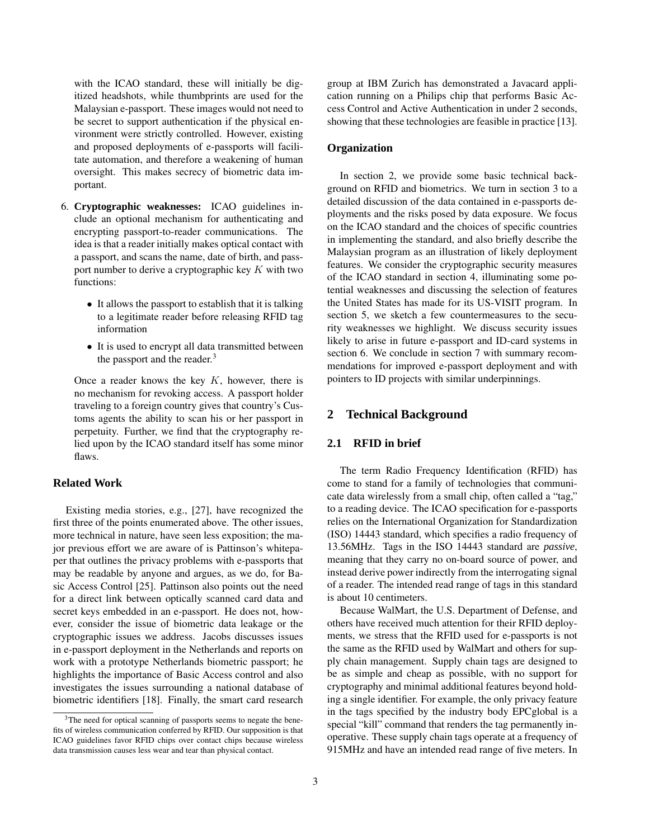with the ICAO standard, these will initially be digitized headshots, while thumbprints are used for the Malaysian e-passport. These images would not need to be secret to support authentication if the physical environment were strictly controlled. However, existing and proposed deployments of e-passports will facilitate automation, and therefore a weakening of human oversight. This makes secrecy of biometric data important.

- 6. **Cryptographic weaknesses:** ICAO guidelines include an optional mechanism for authenticating and encrypting passport-to-reader communications. The idea is that a reader initially makes optical contact with a passport, and scans the name, date of birth, and passport number to derive a cryptographic key  $K$  with two functions:
	- It allows the passport to establish that it is talking to a legitimate reader before releasing RFID tag information
	- It is used to encrypt all data transmitted between the passport and the reader.<sup>3</sup>

Once a reader knows the key  $K$ , however, there is no mechanism for revoking access. A passport holder traveling to a foreign country gives that country's Customs agents the ability to scan his or her passport in perpetuity. Further, we find that the cryptography relied upon by the ICAO standard itself has some minor flaws.

### **Related Work**

Existing media stories, e.g., [27], have recognized the first three of the points enumerated above. The other issues, more technical in nature, have seen less exposition; the major previous effort we are aware of is Pattinson's whitepaper that outlines the privacy problems with e-passports that may be readable by anyone and argues, as we do, for Basic Access Control [25]. Pattinson also points out the need for a direct link between optically scanned card data and secret keys embedded in an e-passport. He does not, however, consider the issue of biometric data leakage or the cryptographic issues we address. Jacobs discusses issues in e-passport deployment in the Netherlands and reports on work with a prototype Netherlands biometric passport; he highlights the importance of Basic Access control and also investigates the issues surrounding a national database of biometric identifiers [18]. Finally, the smart card research

group at IBM Zurich has demonstrated a Javacard application running on a Philips chip that performs Basic Access Control and Active Authentication in under 2 seconds, showing that these technologies are feasible in practice [13].

#### **Organization**

In section 2, we provide some basic technical background on RFID and biometrics. We turn in section 3 to a detailed discussion of the data contained in e-passports deployments and the risks posed by data exposure. We focus on the ICAO standard and the choices of specific countries in implementing the standard, and also briefly describe the Malaysian program as an illustration of likely deployment features. We consider the cryptographic security measures of the ICAO standard in section 4, illuminating some potential weaknesses and discussing the selection of features the United States has made for its US-VISIT program. In section 5, we sketch a few countermeasures to the security weaknesses we highlight. We discuss security issues likely to arise in future e-passport and ID-card systems in section 6. We conclude in section 7 with summary recommendations for improved e-passport deployment and with pointers to ID projects with similar underpinnings.

#### **2 Technical Background**

### **2.1 RFID in brief**

The term Radio Frequency Identification (RFID) has come to stand for a family of technologies that communicate data wirelessly from a small chip, often called a "tag," to a reading device. The ICAO specification for e-passports relies on the International Organization for Standardization (ISO) 14443 standard, which specifies a radio frequency of 13.56MHz. Tags in the ISO 14443 standard are *passive*, meaning that they carry no on-board source of power, and instead derive power indirectly from the interrogating signal of a reader. The intended read range of tags in this standard is about 10 centimeters.

Because WalMart, the U.S. Department of Defense, and others have received much attention for their RFID deployments, we stress that the RFID used for e-passports is not the same as the RFID used by WalMart and others for supply chain management. Supply chain tags are designed to be as simple and cheap as possible, with no support for cryptography and minimal additional features beyond holding a single identifier. For example, the only privacy feature in the tags specified by the industry body EPCglobal is a special "kill" command that renders the tag permanently inoperative. These supply chain tags operate at a frequency of 915MHz and have an intended read range of five meters. In

<sup>&</sup>lt;sup>3</sup>The need for optical scanning of passports seems to negate the benefits of wireless communication conferred by RFID. Our supposition is that ICAO guidelines favor RFID chips over contact chips because wireless data transmission causes less wear and tear than physical contact.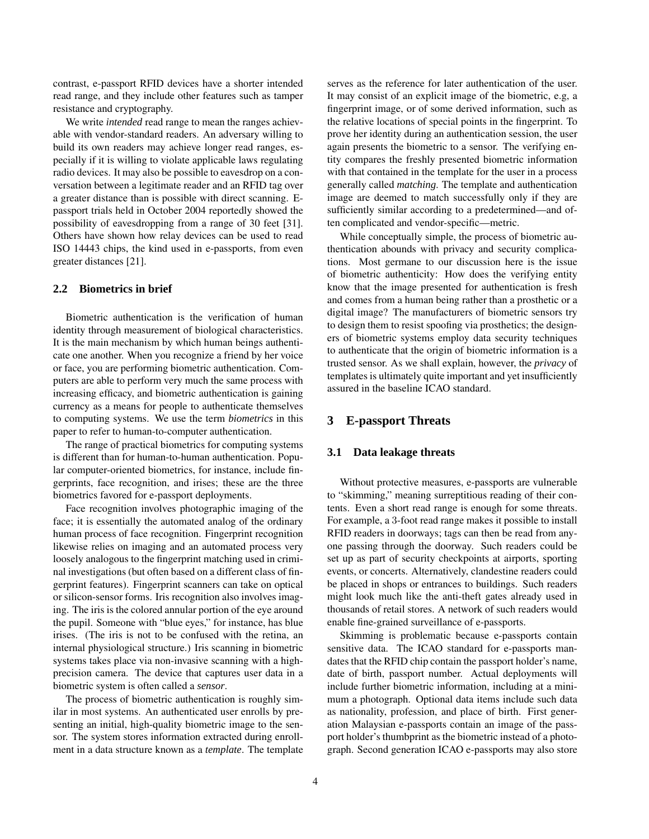contrast, e-passport RFID devices have a shorter intended read range, and they include other features such as tamper resistance and cryptography.

We write *intended* read range to mean the ranges achievable with vendor-standard readers. An adversary willing to build its own readers may achieve longer read ranges, especially if it is willing to violate applicable laws regulating radio devices. It may also be possible to eavesdrop on a conversation between a legitimate reader and an RFID tag over a greater distance than is possible with direct scanning. Epassport trials held in October 2004 reportedly showed the possibility of eavesdropping from a range of 30 feet [31]. Others have shown how relay devices can be used to read ISO 14443 chips, the kind used in e-passports, from even greater distances [21].

#### **2.2 Biometrics in brief**

Biometric authentication is the verification of human identity through measurement of biological characteristics. It is the main mechanism by which human beings authenticate one another. When you recognize a friend by her voice or face, you are performing biometric authentication. Computers are able to perform very much the same process with increasing efficacy, and biometric authentication is gaining currency as a means for people to authenticate themselves to computing systems. We use the term *biometrics* in this paper to refer to human-to-computer authentication.

The range of practical biometrics for computing systems is different than for human-to-human authentication. Popular computer-oriented biometrics, for instance, include fingerprints, face recognition, and irises; these are the three biometrics favored for e-passport deployments.

Face recognition involves photographic imaging of the face; it is essentially the automated analog of the ordinary human process of face recognition. Fingerprint recognition likewise relies on imaging and an automated process very loosely analogous to the fingerprint matching used in criminal investigations (but often based on a different class of fingerprint features). Fingerprint scanners can take on optical or silicon-sensor forms. Iris recognition also involves imaging. The iris is the colored annular portion of the eye around the pupil. Someone with "blue eyes," for instance, has blue irises. (The iris is not to be confused with the retina, an internal physiological structure.) Iris scanning in biometric systems takes place via non-invasive scanning with a highprecision camera. The device that captures user data in a biometric system is often called a *sensor*.

The process of biometric authentication is roughly similar in most systems. An authenticated user enrolls by presenting an initial, high-quality biometric image to the sensor. The system stores information extracted during enrollment in a data structure known as a *template*. The template serves as the reference for later authentication of the user. It may consist of an explicit image of the biometric, e.g, a fingerprint image, or of some derived information, such as the relative locations of special points in the fingerprint. To prove her identity during an authentication session, the user again presents the biometric to a sensor. The verifying entity compares the freshly presented biometric information with that contained in the template for the user in a process generally called *matching*. The template and authentication image are deemed to match successfully only if they are sufficiently similar according to a predetermined—and often complicated and vendor-specific—metric.

While conceptually simple, the process of biometric authentication abounds with privacy and security complications. Most germane to our discussion here is the issue of biometric authenticity: How does the verifying entity know that the image presented for authentication is fresh and comes from a human being rather than a prosthetic or a digital image? The manufacturers of biometric sensors try to design them to resist spoofing via prosthetics; the designers of biometric systems employ data security techniques to authenticate that the origin of biometric information is a trusted sensor. As we shall explain, however, the *privacy* of templates is ultimately quite important and yet insufficiently assured in the baseline ICAO standard.

### **3 E-passport Threats**

#### **3.1 Data leakage threats**

Without protective measures, e-passports are vulnerable to "skimming," meaning surreptitious reading of their contents. Even a short read range is enough for some threats. For example, a 3-foot read range makes it possible to install RFID readers in doorways; tags can then be read from anyone passing through the doorway. Such readers could be set up as part of security checkpoints at airports, sporting events, or concerts. Alternatively, clandestine readers could be placed in shops or entrances to buildings. Such readers might look much like the anti-theft gates already used in thousands of retail stores. A network of such readers would enable fine-grained surveillance of e-passports.

Skimming is problematic because e-passports contain sensitive data. The ICAO standard for e-passports mandates that the RFID chip contain the passport holder's name, date of birth, passport number. Actual deployments will include further biometric information, including at a minimum a photograph. Optional data items include such data as nationality, profession, and place of birth. First generation Malaysian e-passports contain an image of the passport holder's thumbprint as the biometric instead of a photograph. Second generation ICAO e-passports may also store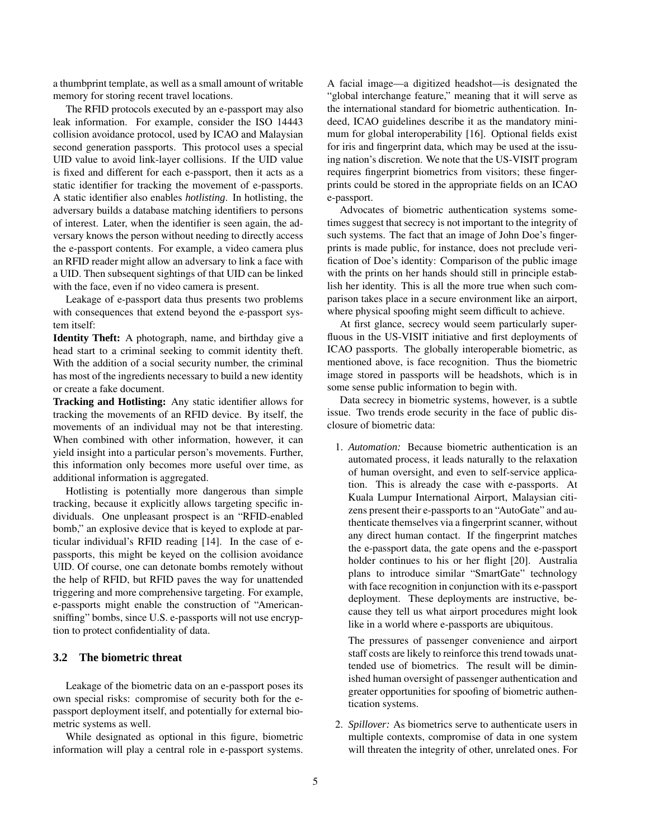a thumbprint template, as well as a small amount of writable memory for storing recent travel locations.

The RFID protocols executed by an e-passport may also leak information. For example, consider the ISO 14443 collision avoidance protocol, used by ICAO and Malaysian second generation passports. This protocol uses a special UID value to avoid link-layer collisions. If the UID value is fixed and different for each e-passport, then it acts as a static identifier for tracking the movement of e-passports. A static identifier also enables *hotlisting*. In hotlisting, the adversary builds a database matching identifiers to persons of interest. Later, when the identifier is seen again, the adversary knows the person without needing to directly access the e-passport contents. For example, a video camera plus an RFID reader might allow an adversary to link a face with a UID. Then subsequent sightings of that UID can be linked with the face, even if no video camera is present.

Leakage of e-passport data thus presents two problems with consequences that extend beyond the e-passport system itself:

**Identity Theft:** A photograph, name, and birthday give a head start to a criminal seeking to commit identity theft. With the addition of a social security number, the criminal has most of the ingredients necessary to build a new identity or create a fake document.

**Tracking and Hotlisting:** Any static identifier allows for tracking the movements of an RFID device. By itself, the movements of an individual may not be that interesting. When combined with other information, however, it can yield insight into a particular person's movements. Further, this information only becomes more useful over time, as additional information is aggregated.

Hotlisting is potentially more dangerous than simple tracking, because it explicitly allows targeting specific individuals. One unpleasant prospect is an "RFID-enabled bomb," an explosive device that is keyed to explode at particular individual's RFID reading [14]. In the case of epassports, this might be keyed on the collision avoidance UID. Of course, one can detonate bombs remotely without the help of RFID, but RFID paves the way for unattended triggering and more comprehensive targeting. For example, e-passports might enable the construction of "Americansniffing" bombs, since U.S. e-passports will not use encryption to protect confidentiality of data.

### **3.2 The biometric threat**

Leakage of the biometric data on an e-passport poses its own special risks: compromise of security both for the epassport deployment itself, and potentially for external biometric systems as well.

While designated as optional in this figure, biometric information will play a central role in e-passport systems.

A facial image—a digitized headshot—is designated the "global interchange feature," meaning that it will serve as the international standard for biometric authentication. Indeed, ICAO guidelines describe it as the mandatory minimum for global interoperability [16]. Optional fields exist for iris and fingerprint data, which may be used at the issuing nation's discretion. We note that the US-VISIT program requires fingerprint biometrics from visitors; these fingerprints could be stored in the appropriate fields on an ICAO e-passport.

Advocates of biometric authentication systems sometimes suggest that secrecy is not important to the integrity of such systems. The fact that an image of John Doe's fingerprints is made public, for instance, does not preclude verification of Doe's identity: Comparison of the public image with the prints on her hands should still in principle establish her identity. This is all the more true when such comparison takes place in a secure environment like an airport, where physical spoofing might seem difficult to achieve.

At first glance, secrecy would seem particularly superfluous in the US-VISIT initiative and first deployments of ICAO passports. The globally interoperable biometric, as mentioned above, is face recognition. Thus the biometric image stored in passports will be headshots, which is in some sense public information to begin with.

Data secrecy in biometric systems, however, is a subtle issue. Two trends erode security in the face of public disclosure of biometric data:

1. *Automation:* Because biometric authentication is an automated process, it leads naturally to the relaxation of human oversight, and even to self-service application. This is already the case with e-passports. At Kuala Lumpur International Airport, Malaysian citizens present their e-passports to an "AutoGate" and authenticate themselves via a fingerprint scanner, without any direct human contact. If the fingerprint matches the e-passport data, the gate opens and the e-passport holder continues to his or her flight [20]. Australia plans to introduce similar "SmartGate" technology with face recognition in conjunction with its e-passport deployment. These deployments are instructive, because they tell us what airport procedures might look like in a world where e-passports are ubiquitous.

The pressures of passenger convenience and airport staff costs are likely to reinforce this trend towads unattended use of biometrics. The result will be diminished human oversight of passenger authentication and greater opportunities for spoofing of biometric authentication systems.

2. *Spillover:* As biometrics serve to authenticate users in multiple contexts, compromise of data in one system will threaten the integrity of other, unrelated ones. For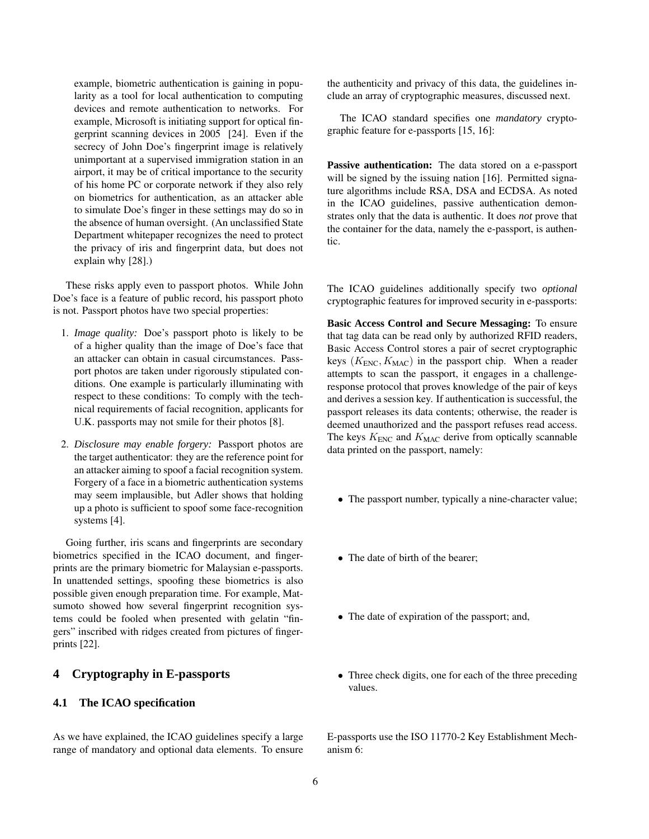example, biometric authentication is gaining in popularity as a tool for local authentication to computing devices and remote authentication to networks. For example, Microsoft is initiating support for optical fingerprint scanning devices in 2005 [24]. Even if the secrecy of John Doe's fingerprint image is relatively unimportant at a supervised immigration station in an airport, it may be of critical importance to the security of his home PC or corporate network if they also rely on biometrics for authentication, as an attacker able to simulate Doe's finger in these settings may do so in the absence of human oversight. (An unclassified State Department whitepaper recognizes the need to protect the privacy of iris and fingerprint data, but does not explain why [28].)

These risks apply even to passport photos. While John Doe's face is a feature of public record, his passport photo is not. Passport photos have two special properties:

- 1. *Image quality:* Doe's passport photo is likely to be of a higher quality than the image of Doe's face that an attacker can obtain in casual circumstances. Passport photos are taken under rigorously stipulated conditions. One example is particularly illuminating with respect to these conditions: To comply with the technical requirements of facial recognition, applicants for U.K. passports may not smile for their photos [8].
- 2. *Disclosure may enable forgery:* Passport photos are the target authenticator: they are the reference point for an attacker aiming to spoof a facial recognition system. Forgery of a face in a biometric authentication systems may seem implausible, but Adler shows that holding up a photo is sufficient to spoof some face-recognition systems [4].

Going further, iris scans and fingerprints are secondary biometrics specified in the ICAO document, and fingerprints are the primary biometric for Malaysian e-passports. In unattended settings, spoofing these biometrics is also possible given enough preparation time. For example, Matsumoto showed how several fingerprint recognition systems could be fooled when presented with gelatin "fingers" inscribed with ridges created from pictures of fingerprints [22].

# **4 Cryptography in E-passports**

#### **4.1 The ICAO specification**

As we have explained, the ICAO guidelines specify a large range of mandatory and optional data elements. To ensure the authenticity and privacy of this data, the guidelines include an array of cryptographic measures, discussed next.

The ICAO standard specifies one *mandatory* cryptographic feature for e-passports [15, 16]:

**Passive authentication:** The data stored on a e-passport will be signed by the issuing nation [16]. Permitted signature algorithms include RSA, DSA and ECDSA. As noted in the ICAO guidelines, passive authentication demonstrates only that the data is authentic. It does *not* prove that the container for the data, namely the e-passport, is authentic.

The ICAO guidelines additionally specify two *optional* cryptographic features for improved security in e-passports:

**Basic Access Control and Secure Messaging:** To ensure that tag data can be read only by authorized RFID readers, Basic Access Control stores a pair of secret cryptographic keys  $(K_{\text{ENC}}, K_{\text{MAC}})$  in the passport chip. When a reader attempts to scan the passport, it engages in a challengeresponse protocol that proves knowledge of the pair of keys and derives a session key. If authentication is successful, the passport releases its data contents; otherwise, the reader is deemed unauthorized and the passport refuses read access. The keys  $K_{\text{ENC}}$  and  $K_{\text{MAC}}$  derive from optically scannable data printed on the passport, namely:

- The passport number, typically a nine-character value;
- The date of birth of the bearer;
- The date of expiration of the passport; and,
- Three check digits, one for each of the three preceding values.

E-passports use the ISO 11770-2 Key Establishment Mechanism 6: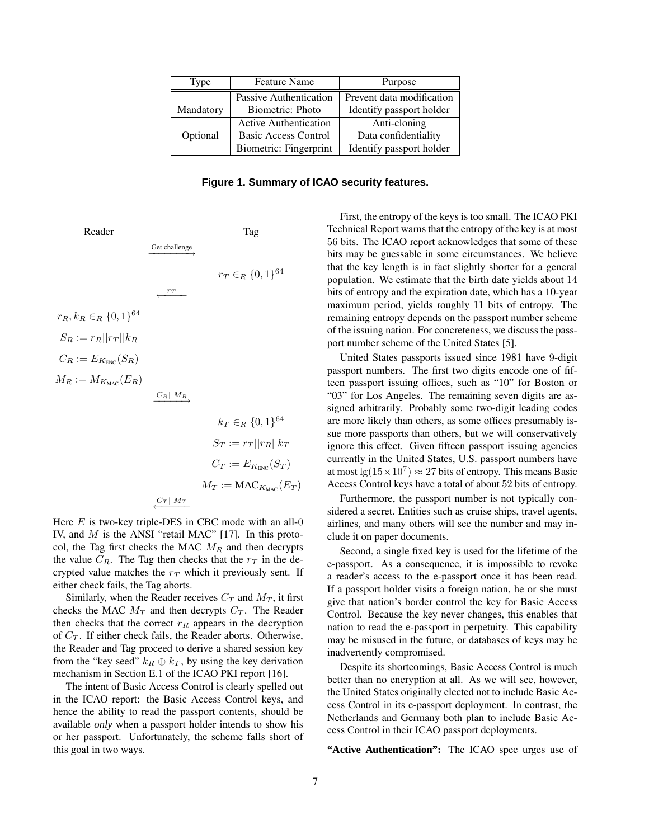| Type      | <b>Feature Name</b>                          | Purpose                   |  |
|-----------|----------------------------------------------|---------------------------|--|
|           | Passive Authentication                       | Prevent data modification |  |
| Mandatory | Biometric: Photo<br>Identify passport holder |                           |  |
|           | <b>Active Authentication</b>                 | Anti-cloning              |  |
| Optional  | <b>Basic Access Control</b>                  | Data confidentiality      |  |
|           | Biometric: Fingerprint                       | Identify passport holder  |  |

**Figure 1. Summary of ICAO security features.**

Reader Tag Get challenge  $\longrightarrow$  $r_T \in_R \{0,1\}^{64}$ ←  $r_{\scriptsize T}$  $r_R, k_R \in_R \{0,1\}^{64}$ 

 $S_R := r_R ||r_T|| k_R$  $C_R := E_{K_{\text{ENC}}}(S_R)$ 

 $M_R := M_{K_{\text{MAC}}}(E_R)$ 

 $C_R||M_R$ 

$$
k_T \in_R \{0, 1\}^{64}
$$

$$
S_T := r_T ||r_R|| k_T
$$

$$
C_T := E_{K_{\text{ENC}}}(S_T)
$$

$$
M_T := \text{MAC}_{K_{\text{MAC}}}(E_T)
$$

$$
\frac{C_T || M_T}{\sqrt{2\pi}} = \text{MAC}_{K_{\text{MAC}}}(E_T)
$$

Here  $E$  is two-key triple-DES in CBC mode with an all-0 IV, and M is the ANSI "retail MAC" [17]. In this protocol, the Tag first checks the MAC  $M_R$  and then decrypts the value  $C_R$ . The Tag then checks that the  $r_T$  in the decrypted value matches the  $r<sub>T</sub>$  which it previously sent. If either check fails, the Tag aborts.

Similarly, when the Reader receives  $C_T$  and  $M_T$ , it first checks the MAC  $M_T$  and then decrypts  $C_T$ . The Reader then checks that the correct  $r_R$  appears in the decryption of  $C_T$ . If either check fails, the Reader aborts. Otherwise, the Reader and Tag proceed to derive a shared session key from the "key seed"  $k_B \oplus k_T$ , by using the key derivation mechanism in Section E.1 of the ICAO PKI report [16].

The intent of Basic Access Control is clearly spelled out in the ICAO report: the Basic Access Control keys, and hence the ability to read the passport contents, should be available *only* when a passport holder intends to show his or her passport. Unfortunately, the scheme falls short of this goal in two ways.

First, the entropy of the keys is too small. The ICAO PKI Technical Report warns that the entropy of the key is at most 56 bits. The ICAO report acknowledges that some of these bits may be guessable in some circumstances. We believe that the key length is in fact slightly shorter for a general population. We estimate that the birth date yields about 14 bits of entropy and the expiration date, which has a 10-year maximum period, yields roughly 11 bits of entropy. The remaining entropy depends on the passport number scheme of the issuing nation. For concreteness, we discuss the passport number scheme of the United States [5].

United States passports issued since 1981 have 9-digit passport numbers. The first two digits encode one of fifteen passport issuing offices, such as "10" for Boston or "03" for Los Angeles. The remaining seven digits are assigned arbitrarily. Probably some two-digit leading codes are more likely than others, as some offices presumably issue more passports than others, but we will conservatively ignore this effect. Given fifteen passport issuing agencies currently in the United States, U.S. passport numbers have at most  $\lg(15 \times 10^7) \approx 27$  bits of entropy. This means Basic Access Control keys have a total of about 52 bits of entropy.

Furthermore, the passport number is not typically considered a secret. Entities such as cruise ships, travel agents, airlines, and many others will see the number and may include it on paper documents.

Second, a single fixed key is used for the lifetime of the e-passport. As a consequence, it is impossible to revoke a reader's access to the e-passport once it has been read. If a passport holder visits a foreign nation, he or she must give that nation's border control the key for Basic Access Control. Because the key never changes, this enables that nation to read the e-passport in perpetuity. This capability may be misused in the future, or databases of keys may be inadvertently compromised.

Despite its shortcomings, Basic Access Control is much better than no encryption at all. As we will see, however, the United States originally elected not to include Basic Access Control in its e-passport deployment. In contrast, the Netherlands and Germany both plan to include Basic Access Control in their ICAO passport deployments.

**"Active Authentication":** The ICAO spec urges use of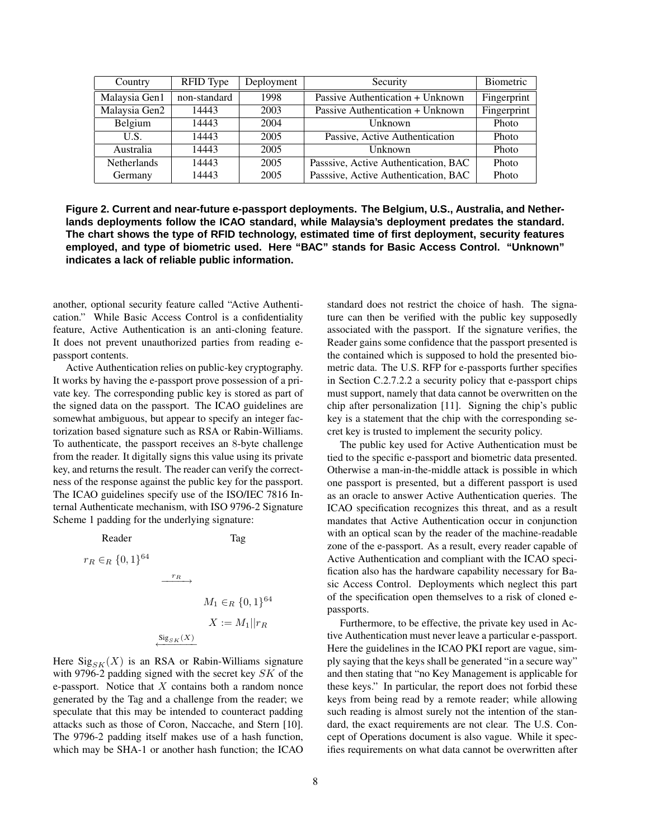| Country            | RFID Type    | Deployment | Security                             | Biometric   |
|--------------------|--------------|------------|--------------------------------------|-------------|
| Malaysia Gen1      | non-standard | 1998       | Passive Authentication + Unknown     | Fingerprint |
| Malaysia Gen2      | 14443        | 2003       | Passive Authentication + Unknown     | Fingerprint |
| Belgium            | 14443        | 2004       | Unknown                              | Photo       |
| U.S.               | 14443        | 2005       | Passive, Active Authentication       | Photo       |
| Australia          | 14443        | 2005       | Unknown                              | Photo       |
| <b>Netherlands</b> | 14443        | 2005       | Passsive, Active Authentication, BAC | Photo       |
| Germany            | 14443        | 2005       | Passsive, Active Authentication, BAC | Photo       |

**Figure 2. Current and near-future e-passport deployments. The Belgium, U.S., Australia, and Netherlands deployments follow the ICAO standard, while Malaysia's deployment predates the standard. The chart shows the type of RFID technology, estimated time of first deployment, security features employed, and type of biometric used. Here "BAC" stands for Basic Access Control. "Unknown" indicates a lack of reliable public information.**

another, optional security feature called "Active Authentication." While Basic Access Control is a confidentiality feature, Active Authentication is an anti-cloning feature. It does not prevent unauthorized parties from reading epassport contents.

Active Authentication relies on public-key cryptography. It works by having the e-passport prove possession of a private key. The corresponding public key is stored as part of the signed data on the passport. The ICAO guidelines are somewhat ambiguous, but appear to specify an integer factorization based signature such as RSA or Rabin-Williams. To authenticate, the passport receives an 8-byte challenge from the reader. It digitally signs this value using its private key, and returns the result. The reader can verify the correctness of the response against the public key for the passport. The ICAO guidelines specify use of the ISO/IEC 7816 Internal Authenticate mechanism, with ISO 9796-2 Signature Scheme 1 padding for the underlying signature:

$$
\begin{array}{ll}\n\text{Reader} & \text{Tag} \\
r_R \in_R \{0, 1\}^{64} \\
 & \xrightarrow{r_R} \\
 & M_1 \in_R \{0, 1\}^{64} \\
 & X := M_1 || r_R \\
 & \xleftarrow{\text{Sig}_{SK}(X)} \\
 & \xleftarrow{\text{Sig}_{SK}(X)} \\
 & \xleftarrow{\text{Sig}_{SK}(X)} \\
 & \xleftarrow{\text{Sig}_{SK}(X)} \\
 & \xleftarrow{\text{Sig}_{SK}(X)} \\
 & \xleftarrow{\text{Sig}_{SK}(X)} \\
 & \xleftarrow{\text{Sig}_{SK}(X)} \\
 & \xleftarrow{\text{Sig}_{SK}(X)} \\
 & \xleftarrow{\text{Sig}_{SK}(X)} \\
 & \xleftarrow{\text{Sig}_{SK}(X)} \\
 & \xleftarrow{\text{Sig}_{SK}(X)} \\
 & \xleftarrow{\text{Sig}_{SK}(X)} \\
 & \xleftarrow{\text{Sig}_{SK}(X)} \\
 & \xleftarrow{\text{Sig}_{SK}(X)} \\
 & \xleftarrow{\text{Sig}_{SK}(X)} \\
 & \xleftarrow{\text{Sig}_{SK}(X)} \\
 & \xleftarrow{\text{Sig}_{SK}(X)} \\
 & \xleftarrow{\text{Sig}_{SK}(X)} \\
 & \xleftarrow{\text{Sig}_{SK}(X)} \\
 & \xleftarrow{\text{Sig}_{SK}(X)} \\
 & \xleftarrow{\text{Sig}_{SK}(X)} \\
 & \xleftarrow{\text{Sig}_{SK}(X)} \\
 & \xleftarrow{\text{Sig}_{SK}(X)} \\
 & \xleftarrow{\text{Sig}_{SK}(X)} \\
 & \xleftarrow{\text{Sig}_{SK}(X)} \\
 & \xleftarrow{\text{Sig}_{SK}(X)} \\
 & \xleftarrow{\text{Sig}_{SK}(X)} \\
 & \xleftarrow{\text{Sig}_{SK}(X)} \\
 & \xleftarrow{\text{Sig}_{SK}(X)} \\
 & \xleftarrow{\text{Sig}_{SK}(X)} \\
 & \xleftarrow{\text{Sig}_{SK}(X)} \\
 & \xleftarrow{\text{Sig}_{SK}(X)} \\
 & \xleftarrow{\text{Sig}_{SK}(X)} \\
 & \xleftarrow{\text{Sig}_{SK}(X)} \\
 & \xleftarrow{\text{Sig}_{SK}(X)} \\
 & \xleftarrow{\text{Sig}_{SK}(X)} \\
 & \xleftarrow{\text{Sig}_{SK}(X)} \\
 & \xleftarrow{\text{Sig}_{SK}(X)} \\
 & \xleftarrow{\text{Sig}_{SK}(X)} \\
 & \xleftarrow{\text{Res}_{
$$

Here  $\text{Sig}_{SK}(X)$  is an RSA or Rabin-Williams signature with 9796-2 padding signed with the secret key  $SK$  of the e-passport. Notice that  $X$  contains both a random nonce generated by the Tag and a challenge from the reader; we speculate that this may be intended to counteract padding attacks such as those of Coron, Naccache, and Stern [10]. The 9796-2 padding itself makes use of a hash function, which may be SHA-1 or another hash function; the ICAO

standard does not restrict the choice of hash. The signature can then be verified with the public key supposedly associated with the passport. If the signature verifies, the Reader gains some confidence that the passport presented is the contained which is supposed to hold the presented biometric data. The U.S. RFP for e-passports further specifies in Section C.2.7.2.2 a security policy that e-passport chips must support, namely that data cannot be overwritten on the chip after personalization [11]. Signing the chip's public key is a statement that the chip with the corresponding secret key is trusted to implement the security policy.

The public key used for Active Authentication must be tied to the specific e-passport and biometric data presented. Otherwise a man-in-the-middle attack is possible in which one passport is presented, but a different passport is used as an oracle to answer Active Authentication queries. The ICAO specification recognizes this threat, and as a result mandates that Active Authentication occur in conjunction with an optical scan by the reader of the machine-readable zone of the e-passport. As a result, every reader capable of Active Authentication and compliant with the ICAO specification also has the hardware capability necessary for Basic Access Control. Deployments which neglect this part of the specification open themselves to a risk of cloned epassports.

Furthermore, to be effective, the private key used in Active Authentication must never leave a particular e-passport. Here the guidelines in the ICAO PKI report are vague, simply saying that the keys shall be generated "in a secure way" and then stating that "no Key Management is applicable for these keys." In particular, the report does not forbid these keys from being read by a remote reader; while allowing such reading is almost surely not the intention of the standard, the exact requirements are not clear. The U.S. Concept of Operations document is also vague. While it specifies requirements on what data cannot be overwritten after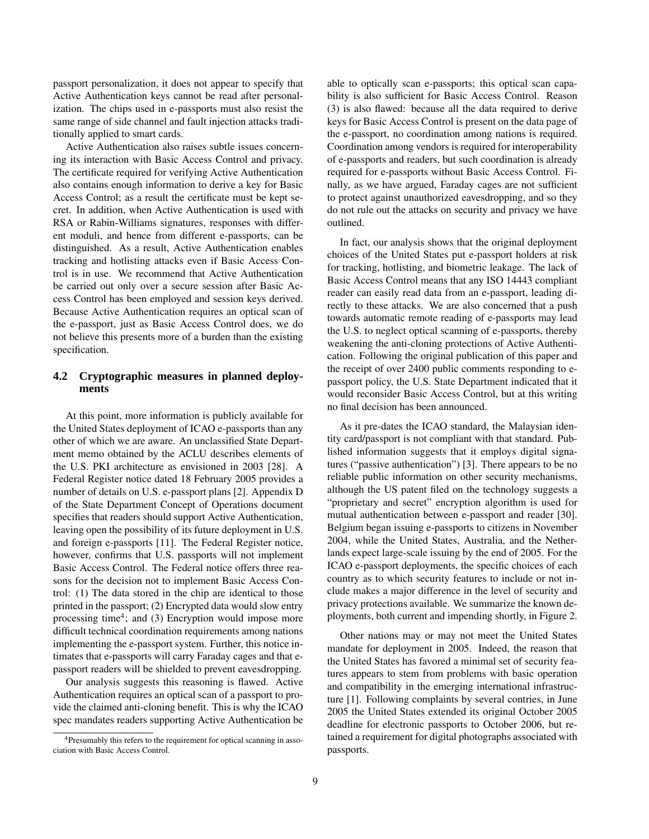passport personalization, it does not appear to specify that Active Authentication keys cannot be read after personalization. The chips used in e-passports must also resist the same range of side channel and fault injection attacks traditionally applied to smart cards.

Active Authentication also raises subtle issues concerning its interaction with Basic Access Control and privacy. The certificate required for verifying Active Authentication also contains enough information to derive a key for Basic Access Control; as a result the certificate must be kept secret. In addition, when Active Authentication is used with RSA or Rabin-Williams signatures, responses with different moduli, and hence from different e-passports, can be distinguished. As a result, Active Authentication enables tracking and hotlisting attacks even if Basic Access Control is in use. We recommend that Active Authentication be carried out only over a secure session after Basic Access Control has been employed and session keys derived. Because Active Authentication requires an optical scan of the e-passport, just as Basic Access Control does, we do not believe this presents more of a burden than the existing specification.

### **4.2 Cryptographic measures in planned deployments**

At this point, more information is publicly available for the United States deployment of ICAO e-passports than any other of which we are aware. An unclassified State Department memo obtained by the ACLU describes elements of the U.S. PKI architecture as envisioned in 2003 [28]. A Federal Register notice dated 18 February 2005 provides a number of details on U.S. e-passport plans [2]. Appendix D of the State Department Concept of Operations document specifies that readers should support Active Authentication, leaving open the possibility of its future deployment in U.S. and foreign e-passports [11]. The Federal Register notice, however, confirms that U.S. passports will not implement Basic Access Control. The Federal notice offers three reasons for the decision not to implement Basic Access Control: (1) The data stored in the chip are identical to those printed in the passport; (2) Encrypted data would slow entry processing time<sup>4</sup>; and (3) Encryption would impose more difficult technical coordination requirements among nations implementing the e-passport system. Further, this notice intimates that e-passports will carry Faraday cages and that epassport readers will be shielded to prevent eavesdropping.

Our analysis suggests this reasoning is flawed. Active Authentication requires an optical scan of a passport to provide the claimed anti-cloning benefit. This is why the ICAO spec mandates readers supporting Active Authentication be able to optically scan e-passports; this optical scan capability is also sufficient for Basic Access Control. Reason (3) is also flawed: because all the data required to derive keys for Basic Access Control is present on the data page of the e-passport, no coordination among nations is required. Coordination among vendors is required for interoperability of e-passports and readers, but such coordination is already required for e-passports without Basic Access Control. Finally, as we have argued, Faraday cages are not sufficient to protect against unauthorized eavesdropping, and so they do not rule out the attacks on security and privacy we have outlined.

In fact, our analysis shows that the original deployment choices of the United States put e-passport holders at risk for tracking, hotlisting, and biometric leakage. The lack of Basic Access Control means that any ISO 14443 compliant reader can easily read data from an e-passport, leading directly to these attacks. We are also concerned that a push towards automatic remote reading of e-passports may lead the U.S. to neglect optical scanning of e-passports, thereby weakening the anti-cloning protections of Active Authentication. Following the original publication of this paper and the receipt of over 2400 public comments responding to epassport policy, the U.S. State Department indicated that it would reconsider Basic Access Control, but at this writing no final decision has been announced.

As it pre-dates the ICAO standard, the Malaysian identity card/passport is not compliant with that standard. Published information suggests that it employs digital signatures ("passive authentication") [3]. There appears to be no reliable public information on other security mechanisms, although the US patent filed on the technology suggests a "proprietary and secret" encryption algorithm is used for mutual authentication between e-passport and reader [30]. Belgium began issuing e-passports to citizens in November 2004, while the United States, Australia, and the Netherlands expect large-scale issuing by the end of 2005. For the ICAO e-passport deployments, the specific choices of each country as to which security features to include or not include makes a major difference in the level of security and privacy protections available. We summarize the known deployments, both current and impending shortly, in Figure 2.

Other nations may or may not meet the United States mandate for deployment in 2005. Indeed, the reason that the United States has favored a minimal set of security features appears to stem from problems with basic operation and compatibility in the emerging international infrastructure [1]. Following complaints by several contries, in June 2005 the United States extended its original October 2005 deadline for electronic passports to October 2006, but retained a requirement for digital photographs associated with passports.

<sup>4</sup>Presumably this refers to the requirement for optical scanning in association with Basic Access Control.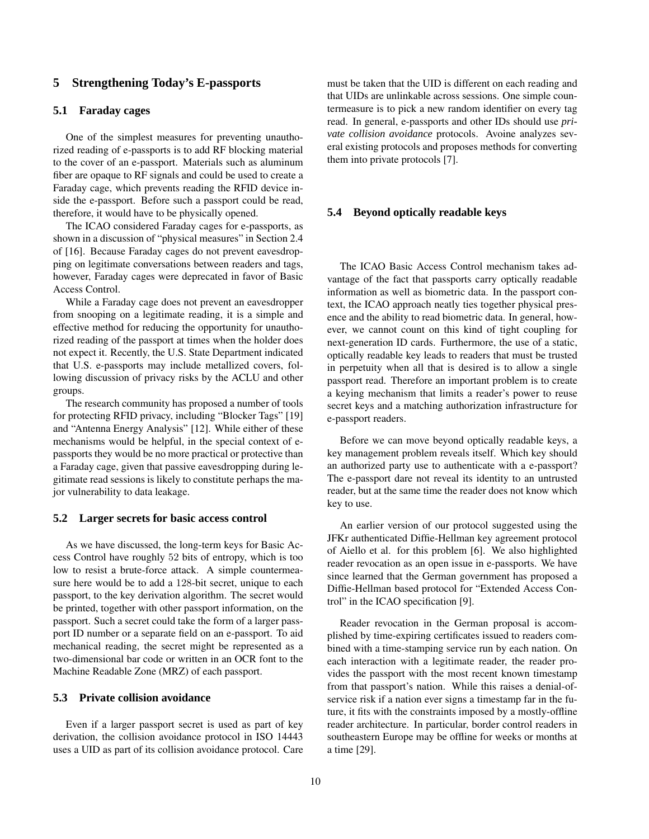## **5 Strengthening Today's E-passports**

### **5.1 Faraday cages**

One of the simplest measures for preventing unauthorized reading of e-passports is to add RF blocking material to the cover of an e-passport. Materials such as aluminum fiber are opaque to RF signals and could be used to create a Faraday cage, which prevents reading the RFID device inside the e-passport. Before such a passport could be read, therefore, it would have to be physically opened.

The ICAO considered Faraday cages for e-passports, as shown in a discussion of "physical measures" in Section 2.4 of [16]. Because Faraday cages do not prevent eavesdropping on legitimate conversations between readers and tags, however, Faraday cages were deprecated in favor of Basic Access Control.

While a Faraday cage does not prevent an eavesdropper from snooping on a legitimate reading, it is a simple and effective method for reducing the opportunity for unauthorized reading of the passport at times when the holder does not expect it. Recently, the U.S. State Department indicated that U.S. e-passports may include metallized covers, following discussion of privacy risks by the ACLU and other groups.

The research community has proposed a number of tools for protecting RFID privacy, including "Blocker Tags" [19] and "Antenna Energy Analysis" [12]. While either of these mechanisms would be helpful, in the special context of epassports they would be no more practical or protective than a Faraday cage, given that passive eavesdropping during legitimate read sessions is likely to constitute perhaps the major vulnerability to data leakage.

#### **5.2 Larger secrets for basic access control**

As we have discussed, the long-term keys for Basic Access Control have roughly 52 bits of entropy, which is too low to resist a brute-force attack. A simple countermeasure here would be to add a 128-bit secret, unique to each passport, to the key derivation algorithm. The secret would be printed, together with other passport information, on the passport. Such a secret could take the form of a larger passport ID number or a separate field on an e-passport. To aid mechanical reading, the secret might be represented as a two-dimensional bar code or written in an OCR font to the Machine Readable Zone (MRZ) of each passport.

#### **5.3 Private collision avoidance**

Even if a larger passport secret is used as part of key derivation, the collision avoidance protocol in ISO 14443 uses a UID as part of its collision avoidance protocol. Care must be taken that the UID is different on each reading and that UIDs are unlinkable across sessions. One simple countermeasure is to pick a new random identifier on every tag read. In general, e-passports and other IDs should use *private collision avoidance* protocols. Avoine analyzes several existing protocols and proposes methods for converting them into private protocols [7].

#### **5.4 Beyond optically readable keys**

The ICAO Basic Access Control mechanism takes advantage of the fact that passports carry optically readable information as well as biometric data. In the passport context, the ICAO approach neatly ties together physical presence and the ability to read biometric data. In general, however, we cannot count on this kind of tight coupling for next-generation ID cards. Furthermore, the use of a static, optically readable key leads to readers that must be trusted in perpetuity when all that is desired is to allow a single passport read. Therefore an important problem is to create a keying mechanism that limits a reader's power to reuse secret keys and a matching authorization infrastructure for e-passport readers.

Before we can move beyond optically readable keys, a key management problem reveals itself. Which key should an authorized party use to authenticate with a e-passport? The e-passport dare not reveal its identity to an untrusted reader, but at the same time the reader does not know which key to use.

An earlier version of our protocol suggested using the JFKr authenticated Diffie-Hellman key agreement protocol of Aiello et al. for this problem [6]. We also highlighted reader revocation as an open issue in e-passports. We have since learned that the German government has proposed a Diffie-Hellman based protocol for "Extended Access Control" in the ICAO specification [9].

Reader revocation in the German proposal is accomplished by time-expiring certificates issued to readers combined with a time-stamping service run by each nation. On each interaction with a legitimate reader, the reader provides the passport with the most recent known timestamp from that passport's nation. While this raises a denial-ofservice risk if a nation ever signs a timestamp far in the future, it fits with the constraints imposed by a mostly-offline reader architecture. In particular, border control readers in southeastern Europe may be offline for weeks or months at a time [29].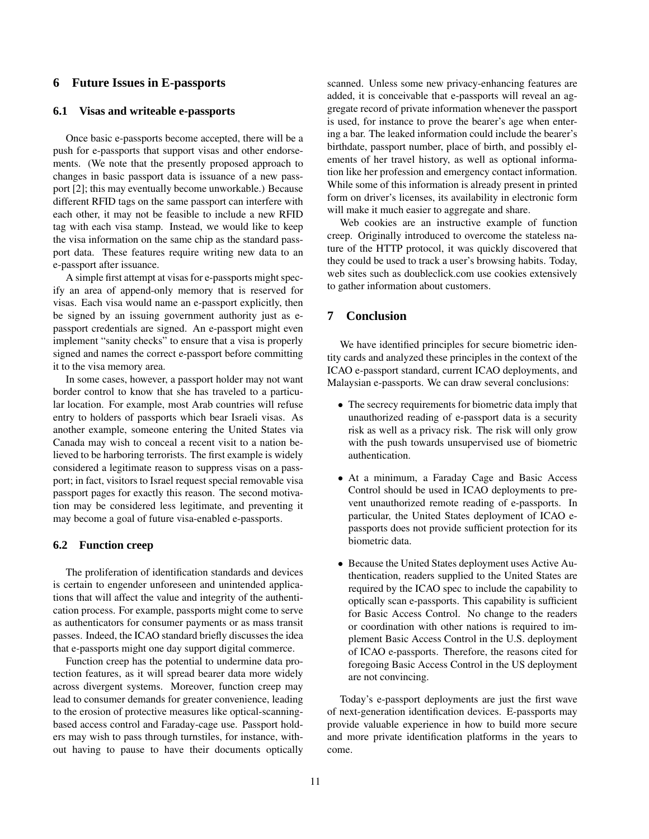### **6 Future Issues in E-passports**

### **6.1 Visas and writeable e-passports**

Once basic e-passports become accepted, there will be a push for e-passports that support visas and other endorsements. (We note that the presently proposed approach to changes in basic passport data is issuance of a new passport [2]; this may eventually become unworkable.) Because different RFID tags on the same passport can interfere with each other, it may not be feasible to include a new RFID tag with each visa stamp. Instead, we would like to keep the visa information on the same chip as the standard passport data. These features require writing new data to an e-passport after issuance.

A simple first attempt at visas for e-passports might specify an area of append-only memory that is reserved for visas. Each visa would name an e-passport explicitly, then be signed by an issuing government authority just as epassport credentials are signed. An e-passport might even implement "sanity checks" to ensure that a visa is properly signed and names the correct e-passport before committing it to the visa memory area.

In some cases, however, a passport holder may not want border control to know that she has traveled to a particular location. For example, most Arab countries will refuse entry to holders of passports which bear Israeli visas. As another example, someone entering the United States via Canada may wish to conceal a recent visit to a nation believed to be harboring terrorists. The first example is widely considered a legitimate reason to suppress visas on a passport; in fact, visitors to Israel request special removable visa passport pages for exactly this reason. The second motivation may be considered less legitimate, and preventing it may become a goal of future visa-enabled e-passports.

#### **6.2 Function creep**

The proliferation of identification standards and devices is certain to engender unforeseen and unintended applications that will affect the value and integrity of the authentication process. For example, passports might come to serve as authenticators for consumer payments or as mass transit passes. Indeed, the ICAO standard briefly discusses the idea that e-passports might one day support digital commerce.

Function creep has the potential to undermine data protection features, as it will spread bearer data more widely across divergent systems. Moreover, function creep may lead to consumer demands for greater convenience, leading to the erosion of protective measures like optical-scanningbased access control and Faraday-cage use. Passport holders may wish to pass through turnstiles, for instance, without having to pause to have their documents optically scanned. Unless some new privacy-enhancing features are added, it is conceivable that e-passports will reveal an aggregate record of private information whenever the passport is used, for instance to prove the bearer's age when entering a bar. The leaked information could include the bearer's birthdate, passport number, place of birth, and possibly elements of her travel history, as well as optional information like her profession and emergency contact information. While some of this information is already present in printed form on driver's licenses, its availability in electronic form will make it much easier to aggregate and share.

Web cookies are an instructive example of function creep. Originally introduced to overcome the stateless nature of the HTTP protocol, it was quickly discovered that they could be used to track a user's browsing habits. Today, web sites such as doubleclick.com use cookies extensively to gather information about customers.

# **7 Conclusion**

We have identified principles for secure biometric identity cards and analyzed these principles in the context of the ICAO e-passport standard, current ICAO deployments, and Malaysian e-passports. We can draw several conclusions:

- The secrecy requirements for biometric data imply that unauthorized reading of e-passport data is a security risk as well as a privacy risk. The risk will only grow with the push towards unsupervised use of biometric authentication.
- At a minimum, a Faraday Cage and Basic Access Control should be used in ICAO deployments to prevent unauthorized remote reading of e-passports. In particular, the United States deployment of ICAO epassports does not provide sufficient protection for its biometric data.
- Because the United States deployment uses Active Authentication, readers supplied to the United States are required by the ICAO spec to include the capability to optically scan e-passports. This capability is sufficient for Basic Access Control. No change to the readers or coordination with other nations is required to implement Basic Access Control in the U.S. deployment of ICAO e-passports. Therefore, the reasons cited for foregoing Basic Access Control in the US deployment are not convincing.

Today's e-passport deployments are just the first wave of next-generation identification devices. E-passports may provide valuable experience in how to build more secure and more private identification platforms in the years to come.